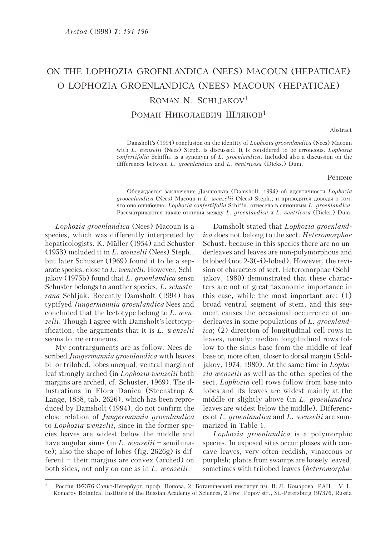## ON THE LOPHOZIA GROENLANDICA (NEES) MACOUN (HEPATICAE) O LOPHOZIA GROENLANDICA (NEES) MACOUN (HEPATICAE) ROMAN N. SCHLJAKOV<sup>1</sup> РОМАН НИКОЛАЕВИЧ ШЛЯКОВ<sup>1</sup>

Abstract

Damsholt's (1994) conclusion on the identity of Lophozia grooenlandica (Nees) Macoun with L. wenzelii (Nees) Steph. is discussed. It is considered to be erroneous. Lophozia confertifolia Schiffn. is a synonym of L. groenlandica. Included also a discussion on the differences between L. groenlandica and L. ventricosa (Dicks.) Dum.

## Резюме

Обсуждается заключение Дамшольта (Damsholt, 1994) об идентичности Lophozia grooenlandica (Nees) Macoun и L. wenzelii (Nees) Steph., и приводятся доводы о том, что оно ошибочно. Lophozia confertifolia Schiffn. отнесена в синонимы L. groenlandica. Рассматриваются также отличия между L. groenlandica и L. ventricosa (Dicks.) Dum.

Lophozia groenlandica (Nees) Macoun is a species, which was differently interpreted by hepaticologists. K. Müller (1954) and Schuster (1953) included it in L. wenzelii (Nees) Steph., but later Schuster (1969) found it to be a separate species, close to L. wenzelii. However, Schljakov (1975b) found that L. groenlandica sensu Schuster belongs to another species, L. schusterana Schljak. Recently Damsholt (1994) has typifyed Jungermannia groenlandica Nees and concluded that the lectotype belong to  $L$ . wenzelii. Though I agree with Damsholt's lectotypification, the arguments that it is L. wenzelii seems to me erroneous.

My contrarguments are as follow. Nees described Jungermannia groenlandica with leaves bi- or trilobed, lobes unequal, ventral margin of leaf strongly arched (in *Lophozia wenzelii* both margins are arched, cf. Schuster, 1969). The illustrations in Flora Danica (Steenstrup & Lange, 1858, tab. 2626), which has been reproduced by Damsholt (1994), do not confirm the close relation of Jungermannia groenlandica to Lophozia wenzelii, since in the former species leaves are widest below the middle and have angular sinus (in L. wenzelii – semilunate); also the shape of lobes (fig.  $2626g$ ) is different – their margins are convex (arched) on both sides, not only on one as in L. wenzelii.

Damsholt stated that Lophozia groenland*ica* does not belong to the sect. *Heteromorphae* Schust, because in this species there are no underleaves and leaves are non-polymorphous and bilobed (not 2-3(-4)-lobed). However, the revision of characters of sect. Heteromorphae (Schljakov, 1980) demonstrated that these characters are not of great taxonomic importance in this case, while the most important are:  $(1)$ broad ventral segment of stem, and this segment causes the occasional occurrence of underleaves in some populations of  $L$ . *groenlandica*; (2) direction of longitudinal cell rows in leaves, namely: median longitudinal rows follow to the sinus base from the middle of leaf base or, more often, closer to dorsal margin (Schljakov, 1974, 1980). At the same time in  $Lopho$ *zia wenzelii* as well as the other species of the sect. *Lophozia* cell rows follow from base into lobes and its leaves are widest mainly at the middle or slightly above (in L. *groenlandica* leaves are widest below the middle). Differences of L. groenlandica and L. wenzelii are summarized in Table 1.

Lophozia groenlandica is a polymorphic species. In exposed sites occur phases with concave leaves, very often reddish, vinaceous or purplish; plants from swamps are loosely leaved, sometimes with trilobed leaves (heteromorpha-

<sup>&</sup>lt;sup>1</sup> – Россия 197376 Санкт-Петербург, проф. Попова, 2, Ботанический институт им. В. Л. Комарова РАН – V. L. Komarov Botanical Institute of the Russian Academy of Sciences, 2 Prof. Popov str., St.-Petersburg 197376, Russia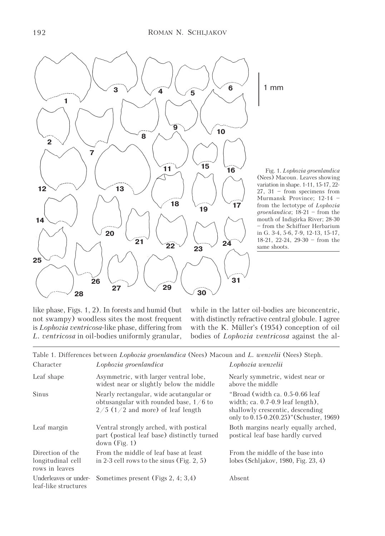

Fig. 1. Lophozia groenlandica (Nees) Macoun. Leaves showing variation in shape. 1-11, 15-17, 22- 27, 31 – from specimens from Murmansk Province; 12-14 – from the lectotype of Lophozia groenlandica; 18-21 – from the mouth of Indigirka River; 28-30 – from the Schiffner Herbarium in G. 3-4, 5-6, 7-9, 12-13, 15-17, 18-21, 22-24, 29-30 – from the

like phase, Figs. 1, 2). In forests and humid (but not swampy) woodless sites the most frequent is Lophozia ventricosa-like phase, differing from L. ventricosa in oil-bodies uniformly granular,

while in the latter oil-bodies are biconcentric, with distinctly refractive central globule. I agree with the K. Müller's (1954) conception of oil bodies of Lophozia ventricosa against the al-

|                                                         | Table 1. Differences between <i>Lophozia groenlandica</i> (Nees) Macoun and <i>L. wenzelii</i> (Nees) Steph.               |                                                                                                                                                        |
|---------------------------------------------------------|----------------------------------------------------------------------------------------------------------------------------|--------------------------------------------------------------------------------------------------------------------------------------------------------|
| Character                                               | Lophozia groenlandica                                                                                                      | Lophozia wenzelii                                                                                                                                      |
| Leaf shape                                              | Asymmetric, with larger ventral lobe,<br>widest near or slightly below the middle                                          | Nearly symmetric, widest near or<br>above the middle                                                                                                   |
| Sinus                                                   | Nearly rectangular, wide acutangular or<br>obtusangular with rounded base, $1/6$ to<br>$2/5$ (1/2 and more) of leaf length | "Broad (width ca. 0.5-0.66 leaf)<br>width; ca. $0.7-0.9$ leaf length),<br>shallowly crescentic, descending<br>only to 0.15-0.2(0.25)" (Schuster, 1969) |
| Leaf margin                                             | Ventral strongly arched, with postical<br>part (postical leaf base) distinctly turned<br>down(Fig. 1)                      | Both margins nearly equally arched,<br>postical leaf base hardly curved                                                                                |
| Direction of the<br>longitudinal cell<br>rows in leaves | From the middle of leaf base at least<br>in 2-3 cell rows to the sinus (Fig. $2, 5$ )                                      | From the middle of the base into<br>lobes (Schljakov, 1980, Fig. 23, 4)                                                                                |
| Underleaves or under-<br>leaf-like structures           | Sometimes present (Figs 2, 4; 3,4)                                                                                         | Absent                                                                                                                                                 |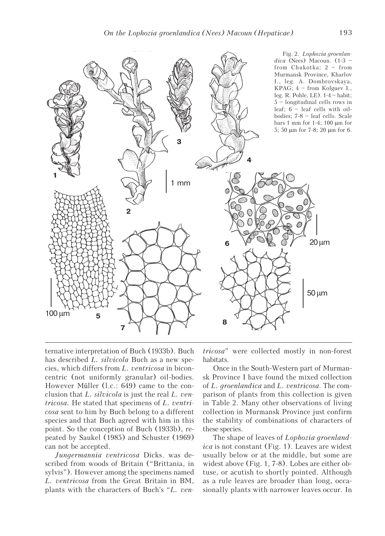

ternative interpretation of Buch (1933b). Buch has described L. silvicola Buch as a new species, which differs from L. ventricosa in biconcentric (not uniformly granular) oil-bodies. However Müller (l.c.: 649) came to the conclusion that L. silvicola is just the real L. ventricosa. He stated that specimens of L. ventricosa sent to him by Buch belong to a different species and that Buch agreed with him in this point. So the conception of Buch (1933b), repeated by Saukel (1985) and Schuster (1969) can not be accepted.

Jungermannia ventricosa Dicks. was described from woods of Britain ("Brittania, in sylvis"). However among the specimens named L. ventricosa from the Great Britain in BM, plants with the characters of Buch's "L. ventricosa" were collected mostly in non-forest habitats.

Once in the South-Western part of Murmansk Province I have found the mixed collection of L. groenlandica and L. ventricosa. The comparison of plants from this collection is given in Table 2. Many other observations of living collection in Murmansk Province just confirm the stability of combinations of characters of these species.

The shape of leaves of *Lophozia groenland*ica is not constant (Fig. 1). Leaves are widest usually below or at the middle, but some are widest above (Fig. 1, 7-8). Lobes are either obtuse, or acutish to shortly pointed. Although as a rule leaves are broader than long, occasionally plants with narrower leaves occur. In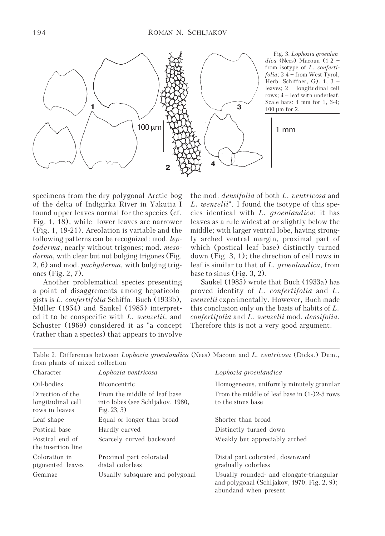

Fig. 3. Lophozia groenlandica (Nees) Macoun  $(1-2$  – from isotype of L. confertifolia; 3-4 – from West Tyrol, Herb. Schiffner, G). 1, 3 – leaves; 2 – longitudinal cell rows; 4 – leaf with underleaf. Scale bars: 1 mm for 1, 3-4; 100 μm for 2.

specimens from the dry polygonal Arctic bog of the delta of Indigirka River in Yakutia I found upper leaves normal for the species (cf. Fig. 1, 18), while lower leaves are narrower (Fig. 1, 19-21). Areolation is variable and the following patterns can be recognized: mod. leptoderma, nearly without trigones; mod. mesoderma, with clear but not bulging trigones (Fig. 2, 6) and mod. pachyderma, with bulging trigones (Fig. 2, 7).

Another problematical species presenting a point of disaggrements among hepaticologists is L. confertifolia Schiffn. Buch (1933b), Müller (1954) and Saukel (1985) interpreted it to be conspecific with L. wenzelii, and Schuster (1969) considered it as "a concept (rather than a species) that appears to involve

the mod. densifolia of both L. ventricosa and L. wenzelii". I found the isotype of this species identical with L. groenlandica: it has leaves as a rule widest at or slightly below the middle; with larger ventral lobe, having strongly arched ventral margin, proximal part of which (postical leaf base) distinctly turned down (Fig. 3, 1); the direction of cell rows in leaf is similar to that of L. groenlandica, from base to sinus (Fig. 3, 2).

Saukel (1985) wrote that Buch (1933a) has proved identity of L. confertifolia and L. wenzelii experimentally. However, Buch made this conclusion only on the basis of habits of L. confertifolia and L. wenzelii mod. densifolia. Therefore this is not a very good argument.

Table 2. Differences between Lophozia groenlandica (Nees) Macoun and L. ventricosa (Dicks.) Dum., from plants of mixed collection

| Character                                               | Lophozia ventricosa                                                                | Lophozia groenlandica                                                                                            |
|---------------------------------------------------------|------------------------------------------------------------------------------------|------------------------------------------------------------------------------------------------------------------|
| Oil-bodies                                              | <b>Biconcentric</b>                                                                | Homogeneous, uniformly minutely granular                                                                         |
| Direction of the<br>longitudinal cell<br>rows in leaves | From the middle of leaf base<br>into lobes (see Schljakov, 1980,<br>Fig. $23, 3$ ) | From the middle of leaf base in $(1-)2-3$ rows<br>to the sinus base                                              |
| Leaf shape                                              | Equal or longer than broad                                                         | Shorter than broad                                                                                               |
| Postical base                                           | Hardly curved                                                                      | Distinctly turned down                                                                                           |
| Postical end of<br>the insertion line                   | Scarcely curved backward                                                           | Weakly but appreciably arched                                                                                    |
| Coloration in<br>pigmented leaves                       | Proximal part colorated<br>distal colorless                                        | Distal part colorated, downward<br>gradually colorless                                                           |
| Gemmae                                                  | Usually subsquare and polygonal                                                    | Usually rounded- and elongate-triangular<br>and polygonal (Schljakov, 1970, Fig. 2, 9);<br>abundand when present |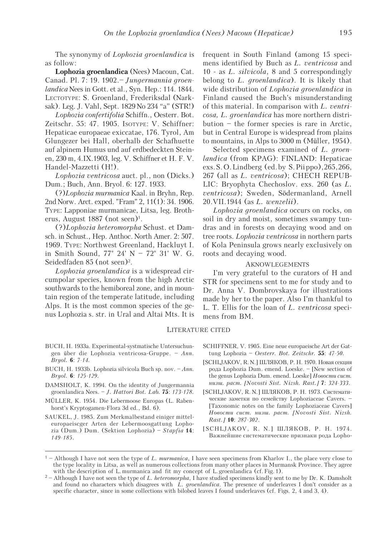The synonymy of Lophozia groenlandica is as follow:

Lophozia groenlandica (Nees) Macoun, Cat. Canad. Pl. 7: 19. 1902.– Jungermannia groenlandica Nees in Gott. et al., Syn. Hep.: 114. 1844. LECTOTYPE: S. Groenland, Frederiksdal (Narksak). Leg. J. Vahl, Sept. 1829 No 234 "a" (STR!)

Lophozia confertifolia Schiffn., Oesterr. Bot. Zeitschr. 55: 47. 1905. ISOTYPE: V. Schiffner: Hepaticae europaeae exiccatae, 176. Tyrol, Am Glungezer bei Hall, oberhalb der Schafhuette auf alpinem Humus und auf erdbedeckten Steinen, 230 m, 4.IX.1903, leg. V. Schiffner et H. F. V. Handel-Mazzetti (H!).

Lophozia ventricosa auct. pl., non (Dicks.) Dum.; Buch, Ann. Bryol. 6: 127. 1933.

(?)Lophozia murmanica Kaal. in Bryhn, Rep. 2nd Norw. Arct. exped. "Fram" 2, 11(1): 34. 1906. TYPE: Lapponiae murmanicae, Litsa, leg. Brotherus, August 1887 (not seen)<sup>1</sup>.

(?)Lophozia heteromorpha Schust. et Damsch. in Schust., Hep. Anthoc. North Amer. 2: 507. 1969. TYPE: Northwest Greenland, Hackluyt I. in Smith Sound, 77° 24' N – 72° 31' W. G. Seidedfaden 85 (not seen)<sup>2</sup>.

Lophozia groenlandica is a widespread circumpolar species, known from the high Arctic southwards to the hemiboreal zone, and in mountain region of the temperate latitude, including Alps. It is the most common species of the genus Lophozia s. str. in Ural and Altai Mts. It is

- BUCH, H. 1933a. Experimental-systmatische Untersuchungen über die Lophozia ventricosa-Gruppe. – Ann. Bryol. 6: 7-14.
- BUCH, H. 1933b. Lophozia silvicola Buch sp. nov. Ann. Bryol. 6: 125-129.
- DAMSHOLT, K. 1994. On the identity of Jungermannia groenlandica Nees. – J. Hattori Bot. Lab. 75: 173-178.
- MÜLLER, K. 1954. Die Lebermoose Europas (L. Rabenhorst's Kryptogamen-Flora 3d ed., Bd. 6).
- SAUKEL, J. 1985. Zum Merkmalbestand einiger mitteleuropaeiscger Arten der Lebermoosgattung Lophozia (Dum.) Dum. (Sektion Lophozia) – Stapfia 14: 149-185.

frequent in South Finland (among 15 specimens identified by Buch as L. ventricosa and 10 - as L. silvicola, 8 and 5 correspondingly belong to L. *groenlandica*). It is likely that wide distribution of Lophozia groenlandica in Finland caused the Buch's misunderstanding of this material. In comparison with L. ventricosa, L. groenlandica has more northern distribution – the former species is rare in Arctic, but in Central Europe is widespread from plains to mountains, in Alps to 3000 m (Müller, 1954).

Selected specimens examined of L. groenlandica (from KPAG): FINLAND: Hepaticae exs. S. O. Lindberg (ed. by S. Piippo), 265, 266, 267 (all as L. ventricosa); CHECH REPUB-LIC: Bryophyta Chechoslov. exs. 260 (as L. ventricosa); Sweden, Södermanland, Arnell 20.VII.1944 (as L. wenzelii).

Lophozia groenlandica occurs on rocks, on soil in dry and moist, sometimes swampy tundras and in forests on decaying wood and on tree roots. Lophozia ventricosa in northern parts of Kola Peninsula grows nearly exclusively on roots and decaying wood.

## AKNOWLEGEMENTS

I'm very grateful to the curators of H and STR for specimens sent to me for study and to Dr. Anna V. Dombrovskaya for illustrations made by her to the paper. Also I'm thankful to L. T. Ellis for the loan of L. ventricosa specimens from BM.

## LITERATURE CITED

- SCHIFFNER, V. 1905. Eine neue europaeische Art der Gattung Lophozia – Oesterr. Bot. Zeitschr.  $55: 47-50$ .
- [SCHLJAKOV, R. N.] ШЛЯКОВ, Р. Н. 1970. Новая секция ðîäà Lophozia Dum. emend. Loeske. – [New section of the genus Lophozia Dum. emend. Loeske] Hosocmu cucm. Husul. pacm. [Novosti Sist. Nizsh. Rast.] 7: 324-333.
- [SCHLJAKOV, R. N.] ШЛЯКОВ, Р. Н. 1973. Систематические заметки по семейству Lophoziaceae Cavers. -[Taxonomic notes on the family Lophoziaceae Cavers] Hoeocmu cucm. nusu. pacm. [Novosti Sist. Nizsh. Rast.] 10: 287-302.
- [SCHLJAKOV, R. N.] ШЛЯКОВ, P. H. 1974. Важнейшие систематические признаки рода Lopho-

 $1 -$  Although I have not seen the type of L. murmanica, I have seen specimens from Kharlov I., the place very close to the type locality in Litsa, as well as numerous collections from many other places in Murmansk Province. They agree with the description of L. murmanica and fit my concept of L. groenlandica (cf. Fig. 1).

 $2 -$  Although I have not seen the type of L. heteromorpha, I have studied specimens kindly sent to me by Dr. K. Damsholt and found no characters which disagrees with  $\tilde{L}$ . *groenlandica*. The presence of underleaves I don't consider as a specific character, since in some collections with bilobed leaves I found underleaves (cf. Figs. 2, 4 and 3, 4).